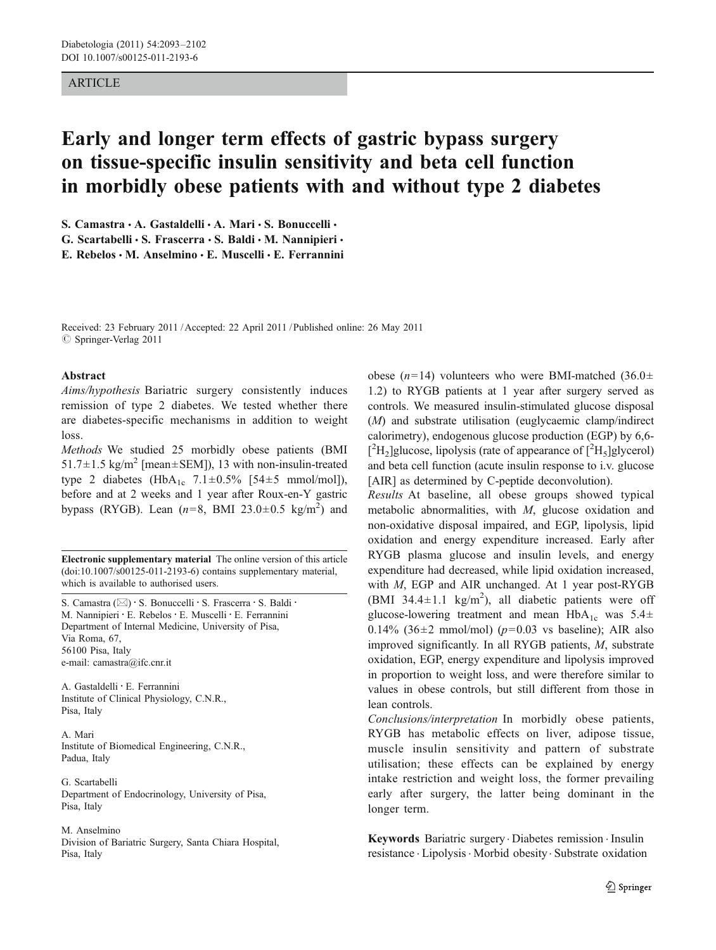## ARTICLE

# Early and longer term effects of gastric bypass surgery on tissue-specific insulin sensitivity and beta cell function in morbidly obese patients with and without type 2 diabetes

S. Camastra · A. Gastaldelli · A. Mari · S. Bonuccelli ·

G. Scartabelli · S. Frascerra · S. Baldi · M. Nannipieri ·

E. Rebelos  $\cdot$  M. Anselmino  $\cdot$  E. Muscelli  $\cdot$  E. Ferrannini

Received: 23 February 2011 /Accepted: 22 April 2011 / Published online: 26 May 2011  $©$  Springer-Verlag 2011

### Abstract

Aims/hypothesis Bariatric surgery consistently induces remission of type 2 diabetes. We tested whether there are diabetes-specific mechanisms in addition to weight loss.

Methods We studied 25 morbidly obese patients (BMI 51.7 $\pm$ 1.5 kg/m<sup>2</sup> [mean $\pm$ SEM]), 13 with non-insulin-treated type 2 diabetes (HbA<sub>1c</sub> 7.1 $\pm$ 0.5% [54 $\pm$ 5 mmol/mol]), before and at 2 weeks and 1 year after Roux-en-Y gastric bypass (RYGB). Lean  $(n=8, \text{ BMI } 23.0 \pm 0.5 \text{ kg/m}^2)$  and

Electronic supplementary material The online version of this article (doi:[10.1007/s00125-011-2193-6\)](http://dx.doi.org/10.1007/s00125-011-2193-6) contains supplementary material, which is available to authorised users.

S. Camastra ( $\boxtimes$ ) · S. Bonuccelli · S. Frascerra · S. Baldi · M. Nannipieri · E. Rebelos · E. Muscelli · E. Ferrannini Department of Internal Medicine, University of Pisa, Via Roma, 67, 56100 Pisa, Italy e-mail: camastra@ifc.cnr.it

A. Gastaldelli : E. Ferrannini Institute of Clinical Physiology, C.N.R., Pisa, Italy

A. Mari Institute of Biomedical Engineering, C.N.R., Padua, Italy

G. Scartabelli Department of Endocrinology, University of Pisa, Pisa, Italy

M. Anselmino Division of Bariatric Surgery, Santa Chiara Hospital, Pisa, Italy

obese (n=14) volunteers who were BMI-matched (36.0 $\pm$ 1.2) to RYGB patients at 1 year after surgery served as controls. We measured insulin-stimulated glucose disposal (M) and substrate utilisation (euglycaemic clamp/indirect calorimetry), endogenous glucose production (EGP) by 6,6-  $[^{2}H_{2}]$ glucose, lipolysis (rate of appearance of  $[^{2}H_{5}]$ glycerol) and beta cell function (acute insulin response to i.v. glucose [AIR] as determined by C-peptide deconvolution).

Results At baseline, all obese groups showed typical metabolic abnormalities, with M, glucose oxidation and non-oxidative disposal impaired, and EGP, lipolysis, lipid oxidation and energy expenditure increased. Early after RYGB plasma glucose and insulin levels, and energy expenditure had decreased, while lipid oxidation increased, with *M*, EGP and AIR unchanged. At 1 year post-RYGB (BMI 34.4 $\pm$ 1.1 kg/m<sup>2</sup>), all diabetic patients were off glucose-lowering treatment and mean  $HbA_{1c}$  was  $5.4\pm$ 0.14% (36 $\pm$ 2 mmol/mol) ( $p$ =0.03 vs baseline); AIR also improved significantly. In all RYGB patients, M, substrate oxidation, EGP, energy expenditure and lipolysis improved in proportion to weight loss, and were therefore similar to values in obese controls, but still different from those in lean controls.

Conclusions/interpretation In morbidly obese patients, RYGB has metabolic effects on liver, adipose tissue, muscle insulin sensitivity and pattern of substrate utilisation; these effects can be explained by energy intake restriction and weight loss, the former prevailing early after surgery, the latter being dominant in the longer term.

Keywords Bariatric surgery. Diabetes remission . Insulin resistance . Lipolysis. Morbid obesity. Substrate oxidation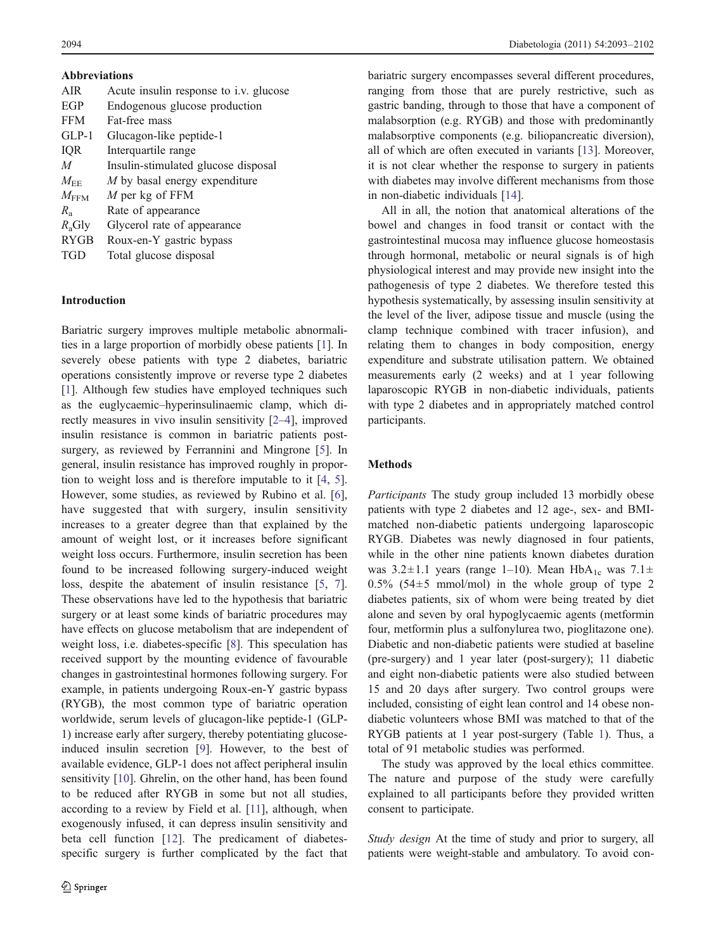| <b>Abbreviations</b> |  |  |  |  |  |
|----------------------|--|--|--|--|--|
|                      |  |  |  |  |  |

| <b>AIR</b>         | Acute insulin response to i.v. glucose |
|--------------------|----------------------------------------|
| EGP                | Endogenous glucose production          |
| <b>FFM</b>         | Fat-free mass                          |
| $GLP-1$            | Glucagon-like peptide-1                |
| IQR                | Interquartile range                    |
| $\overline{M}$     | Insulin-stimulated glucose disposal    |
| $M_{\rm{FF}}$      | M by basal energy expenditure          |
| $M_{\mathrm{FFM}}$ | M per kg of FFM                        |
| $R_{\rm a}$        | Rate of appearance                     |
| $R_{\rm a}$ Gly    | Glycerol rate of appearance            |
| <b>RYGB</b>        | Roux-en-Y gastric bypass               |
| <b>TGD</b>         | Total glucose disposal                 |
|                    |                                        |

## Introduction

Bariatric surgery improves multiple metabolic abnormalities in a large proportion of morbidly obese patients [\[1](#page-8-0)]. In severely obese patients with type 2 diabetes, bariatric operations consistently improve or reverse type 2 diabetes [\[1](#page-8-0)]. Although few studies have employed techniques such as the euglycaemic–hyperinsulinaemic clamp, which directly measures in vivo insulin sensitivity [[2](#page-8-0)–[4\]](#page-8-0), improved insulin resistance is common in bariatric patients postsurgery, as reviewed by Ferrannini and Mingrone [[5\]](#page-8-0). In general, insulin resistance has improved roughly in proportion to weight loss and is therefore imputable to it [\[4](#page-8-0), [5](#page-8-0)]. However, some studies, as reviewed by Rubino et al. [\[6](#page-8-0)], have suggested that with surgery, insulin sensitivity increases to a greater degree than that explained by the amount of weight lost, or it increases before significant weight loss occurs. Furthermore, insulin secretion has been found to be increased following surgery-induced weight loss, despite the abatement of insulin resistance [\[5](#page-8-0), [7](#page-8-0)]. These observations have led to the hypothesis that bariatric surgery or at least some kinds of bariatric procedures may have effects on glucose metabolism that are independent of weight loss, i.e. diabetes-specific [[8\]](#page-9-0). This speculation has received support by the mounting evidence of favourable changes in gastrointestinal hormones following surgery. For example, in patients undergoing Roux-en-Y gastric bypass (RYGB), the most common type of bariatric operation worldwide, serum levels of glucagon-like peptide-1 (GLP-1) increase early after surgery, thereby potentiating glucoseinduced insulin secretion [\[9](#page-9-0)]. However, to the best of available evidence, GLP-1 does not affect peripheral insulin sensitivity [[10\]](#page-9-0). Ghrelin, on the other hand, has been found to be reduced after RYGB in some but not all studies, according to a review by Field et al. [[11](#page-9-0)], although, when exogenously infused, it can depress insulin sensitivity and beta cell function [[12](#page-9-0)]. The predicament of diabetesspecific surgery is further complicated by the fact that

bariatric surgery encompasses several different procedures, ranging from those that are purely restrictive, such as gastric banding, through to those that have a component of malabsorption (e.g. RYGB) and those with predominantly malabsorptive components (e.g. biliopancreatic diversion), all of which are often executed in variants [\[13](#page-9-0)]. Moreover, it is not clear whether the response to surgery in patients with diabetes may involve different mechanisms from those in non-diabetic individuals [\[14](#page-9-0)].

All in all, the notion that anatomical alterations of the bowel and changes in food transit or contact with the gastrointestinal mucosa may influence glucose homeostasis through hormonal, metabolic or neural signals is of high physiological interest and may provide new insight into the pathogenesis of type 2 diabetes. We therefore tested this hypothesis systematically, by assessing insulin sensitivity at the level of the liver, adipose tissue and muscle (using the clamp technique combined with tracer infusion), and relating them to changes in body composition, energy expenditure and substrate utilisation pattern. We obtained measurements early (2 weeks) and at 1 year following laparoscopic RYGB in non-diabetic individuals, patients with type 2 diabetes and in appropriately matched control participants.

#### Methods

Participants The study group included 13 morbidly obese patients with type 2 diabetes and 12 age-, sex- and BMImatched non-diabetic patients undergoing laparoscopic RYGB. Diabetes was newly diagnosed in four patients, while in the other nine patients known diabetes duration was  $3.2 \pm 1.1$  years (range 1–10). Mean HbA<sub>1c</sub> was  $7.1 \pm$ 0.5% (54 $\pm$ 5 mmol/mol) in the whole group of type 2 diabetes patients, six of whom were being treated by diet alone and seven by oral hypoglycaemic agents (metformin four, metformin plus a sulfonylurea two, pioglitazone one). Diabetic and non-diabetic patients were studied at baseline (pre-surgery) and 1 year later (post-surgery); 11 diabetic and eight non-diabetic patients were also studied between 15 and 20 days after surgery. Two control groups were included, consisting of eight lean control and 14 obese nondiabetic volunteers whose BMI was matched to that of the RYGB patients at 1 year post-surgery (Table [1](#page-2-0)). Thus, a total of 91 metabolic studies was performed.

The study was approved by the local ethics committee. The nature and purpose of the study were carefully explained to all participants before they provided written consent to participate.

Study design At the time of study and prior to surgery, all patients were weight-stable and ambulatory. To avoid con-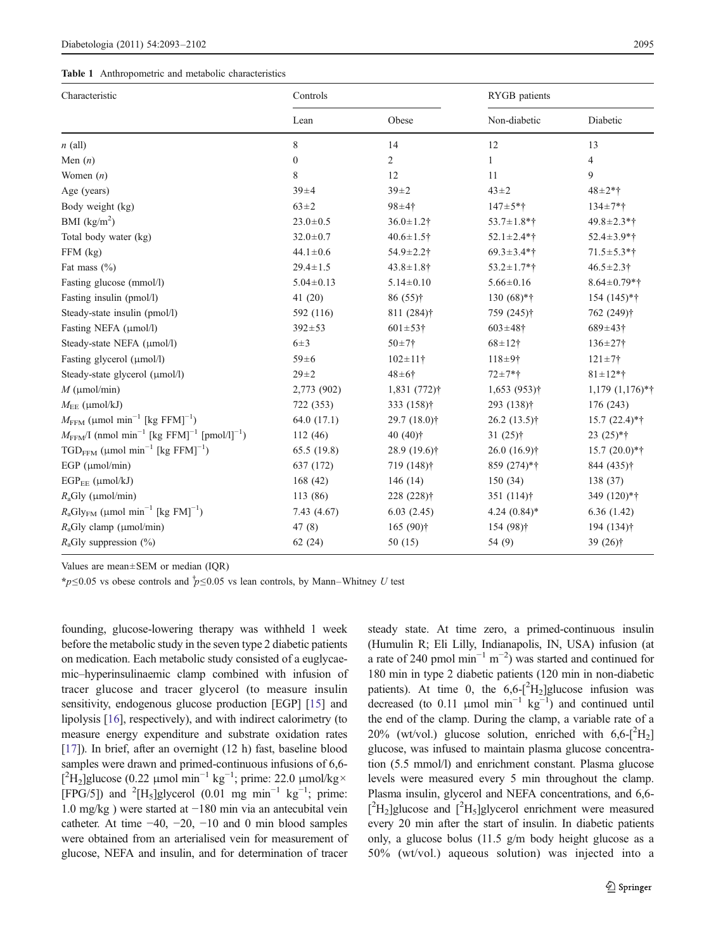<span id="page-2-0"></span>

|  | Table 1 Anthropometric and metabolic characteristics |  |  |  |
|--|------------------------------------------------------|--|--|--|
|--|------------------------------------------------------|--|--|--|

| Characteristic                                                                              | Controls        |                          | RYGB patients          |                             |  |
|---------------------------------------------------------------------------------------------|-----------------|--------------------------|------------------------|-----------------------------|--|
|                                                                                             | Lean            | Obese                    | Non-diabetic           | Diabetic                    |  |
| $n$ (all)                                                                                   | 8               | 14                       | 12                     | 13                          |  |
| Men $(n)$                                                                                   | $\mathbf{0}$    | $\overline{c}$           | 1                      | $\overline{4}$              |  |
| Women $(n)$                                                                                 | 8               | 12                       | 11                     | 9                           |  |
| Age (years)                                                                                 | $39 + 4$        | $39 + 2$                 | $43 + 2$               | $48 + 2*$ †                 |  |
| Body weight (kg)                                                                            | $63 \pm 2$      | $98 + 4$ †               | $147 + 5*$ †           | $134 \pm 7*$ †              |  |
| BMI $(kg/m^2)$                                                                              | $23.0 \pm 0.5$  | $36.0 \pm 1.2$ †         | $53.7 \pm 1.8$ *†      | $49.8 \pm 2.3$ *†           |  |
| Total body water (kg)                                                                       | $32.0 \pm 0.7$  | $40.6 \pm 1.5$ †         | $52.1 \pm 2.4$ *†      | $52.4 \pm 3.9*$ †           |  |
| FFM (kg)                                                                                    | $44.1 \pm 0.6$  | $54.9 \pm 2.2$ †         | $69.3 \pm 3.4$ *†      | $71.5 \pm 5.3$ *†           |  |
| Fat mass $(\% )$                                                                            | $29.4 \pm 1.5$  | $43.8 \pm 1.8$ †         | $53.2 \pm 1.7*$ †      | $46.5 \pm 2.3$              |  |
| Fasting glucose (mmol/l)                                                                    | $5.04 \pm 0.13$ | $5.14 \pm 0.10$          | $5.66 \pm 0.16$        | $8.64 \pm 0.79*$ †          |  |
| Fasting insulin (pmol/l)                                                                    | 41(20)          | $86(55)$ †               | $130(68)*†$            | 154 (145)*†                 |  |
| Steady-state insulin (pmol/l)                                                               | 592 (116)       | $811(284)$ †             | 759 (245)†             | 762 (249)†                  |  |
| Fasting NEFA (µmol/l)                                                                       | $392 \pm 53$    | $601 \pm 53$ +           | $603 \pm 48$ †         | $689 \pm 43$ +              |  |
| Steady-state NEFA (µmol/l)                                                                  | $6\pm3$         | $50 + 7 +$               | $68 + 12$ †            | $136 \pm 27$ †              |  |
| Fasting glycerol (µmol/l)                                                                   | $59 \pm 6$      | $102 \pm 11$ †           | $118 + 9$ †            | $121 \pm 7$ †               |  |
| Steady-state glycerol (µmol/l)                                                              | $29 + 2$        | $48 + 6$ †               | $72 + 7*$ †            | $81 \pm 12*$ †              |  |
| $M$ (µmol/min)                                                                              | 2,773 (902)     | 1,831 (772)†             | $1,653(953)$ †         | $1,179$ $(1,176)*{\dagger}$ |  |
| $M_{\text{EE}}$ (µmol/kJ)                                                                   | 722 (353)       | 333 (158)†               | 293 (138) <sup>†</sup> | 176 (243)                   |  |
| $M_{\text{FFM}}$ (µmol min <sup>-1</sup> [kg FFM] <sup>-1</sup> )                           | 64.0(17.1)      | 29.7 (18.0) <sup>†</sup> | $26.2(13.5)$ †         | $15.7(22.4)*†$              |  |
| $M_{\text{FFM}}$ /I (nmol min <sup>-1</sup> [kg FFM] <sup>-1</sup> [pmol/l] <sup>-1</sup> ) | 112(46)         | 40 $(40)$ †              | $31(25)$ †             | $23(25)*†$                  |  |
| $TGD_{FFM}$ (µmol min <sup>-1</sup> [kg FFM] <sup>-1</sup> )                                | 65.5 (19.8)     | $28.9(19.6)$ †           | $26.0(16.9)$ †         | $15.7(20.0)*{\dagger}$      |  |
| EGP $(\mu$ mol/min)                                                                         | 637 (172)       | $719(148)$ †             | 859 (274)*†            | 844 (435) <sup>†</sup>      |  |
| $EGP_{EF}$ ( $\mu$ mol/kJ)                                                                  | 168(42)         | 146 $(14)$               | 150(34)                | 138 (37)                    |  |
| $R_a$ Gly (µmol/min)                                                                        | 113 (86)        | 228 (228) <sup>†</sup>   | $351(114)$ †           | 349 (120)*†                 |  |
| $R_aGly_{FM}$ (µmol min <sup>-1</sup> [kg FM] <sup>-1</sup> )                               | 7.43 (4.67)     | 6.03(2.45)               | $4.24(0.84)$ *         | 6.36(1.42)                  |  |
| $R_a$ Gly clamp (µmol/min)                                                                  | 47(8)           | $165(90)$ †              | 154 (98) <sup>†</sup>  | 194 (134) <sup>†</sup>      |  |
| $R_a$ Gly suppression $(\%)$                                                                | 62(24)          | 50 (15)                  | 54 (9)                 | 39 (26)†                    |  |

Values are mean±SEM or median (IQR)

\*p≤0.05 vs obese controls and  $\dot{p}$ ≤0.05 vs lean controls, by Mann–Whitney U test

founding, glucose-lowering therapy was withheld 1 week before the metabolic study in the seven type 2 diabetic patients on medication. Each metabolic study consisted of a euglycaemic–hyperinsulinaemic clamp combined with infusion of tracer glucose and tracer glycerol (to measure insulin sensitivity, endogenous glucose production [EGP] [[15](#page-9-0)] and lipolysis [[16](#page-9-0)], respectively), and with indirect calorimetry (to measure energy expenditure and substrate oxidation rates [\[17\]](#page-9-0)). In brief, after an overnight (12 h) fast, baseline blood samples were drawn and primed-continuous infusions of 6,6- $[^{2}H_{2}]$ glucose (0.22 μmol min<sup>-1</sup> kg<sup>-1</sup>; prime: 22.0 μmol/kg× [FPG/5]) and <sup>2</sup>[H<sub>5</sub>]glycerol (0.01 mg min<sup>-1</sup> kg<sup>-1</sup>; prime: 1.0 mg/kg ) were started at −180 min via an antecubital vein catheter. At time  $-40$ ,  $-20$ ,  $-10$  and 0 min blood samples were obtained from an arterialised vein for measurement of glucose, NEFA and insulin, and for determination of tracer steady state. At time zero, a primed-continuous insulin (Humulin R; Eli Lilly, Indianapolis, IN, USA) infusion (at a rate of 240 pmol  $\text{min}^{-1} \text{ m}^{-2}$ ) was started and continued for 180 min in type 2 diabetic patients (120 min in non-diabetic patients). At time 0, the  $6,6 -[^2H_2]$ glucose infusion was decreased (to 0.11 µmol min<sup>-1</sup>  $kg^{-1}$ ) and continued until the end of the clamp. During the clamp, a variable rate of a 20% (wt/vol.) glucose solution, enriched with  $6.6 - [^2H_2]$ glucose, was infused to maintain plasma glucose concentration (5.5 mmol/l) and enrichment constant. Plasma glucose levels were measured every 5 min throughout the clamp. Plasma insulin, glycerol and NEFA concentrations, and 6,6-  $[^{2}H_{2}]$ glucose and  $[^{2}H_{5}]$ glycerol enrichment were measured every 20 min after the start of insulin. In diabetic patients only, a glucose bolus (11.5 g/m body height glucose as a 50% (wt/vol.) aqueous solution) was injected into a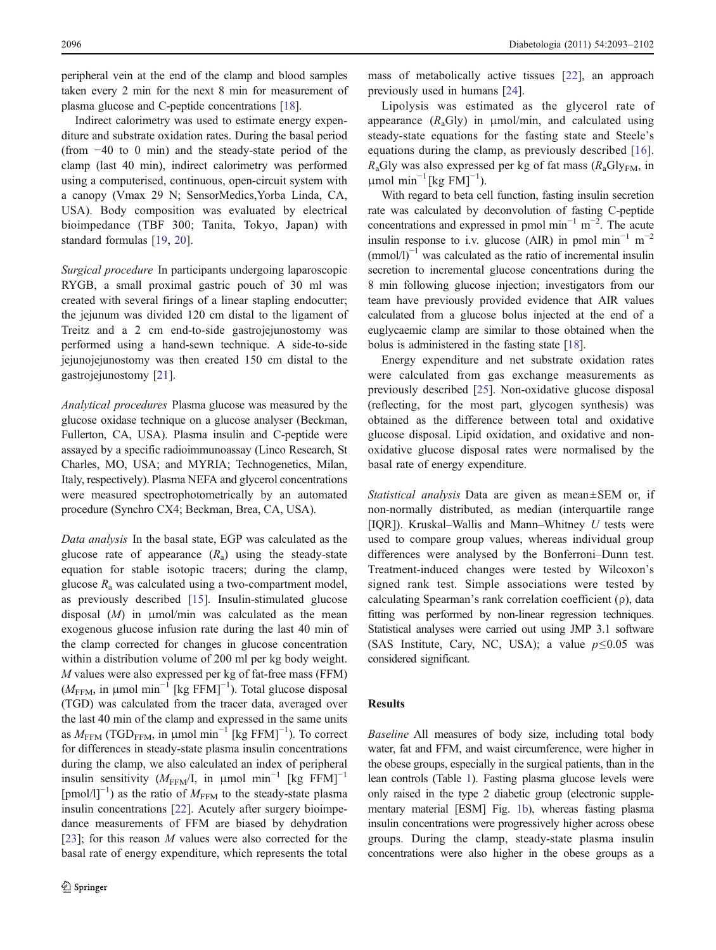peripheral vein at the end of the clamp and blood samples taken every 2 min for the next 8 min for measurement of plasma glucose and C-peptide concentrations [[18\]](#page-9-0).

Indirect calorimetry was used to estimate energy expenditure and substrate oxidation rates. During the basal period (from −40 to 0 min) and the steady-state period of the clamp (last 40 min), indirect calorimetry was performed using a computerised, continuous, open-circuit system with a canopy (Vmax 29 N; SensorMedics,Yorba Linda, CA, USA). Body composition was evaluated by electrical bioimpedance (TBF 300; Tanita, Tokyo, Japan) with standard formulas [\[19](#page-9-0), [20](#page-9-0)].

Surgical procedure In participants undergoing laparoscopic RYGB, a small proximal gastric pouch of 30 ml was created with several firings of a linear stapling endocutter; the jejunum was divided 120 cm distal to the ligament of Treitz and a 2 cm end-to-side gastrojejunostomy was performed using a hand-sewn technique. A side-to-side jejunojejunostomy was then created 150 cm distal to the gastrojejunostomy [[21\]](#page-9-0).

Analytical procedures Plasma glucose was measured by the glucose oxidase technique on a glucose analyser (Beckman, Fullerton, CA, USA). Plasma insulin and C-peptide were assayed by a specific radioimmunoassay (Linco Research, St Charles, MO, USA; and MYRIA; Technogenetics, Milan, Italy, respectively). Plasma NEFA and glycerol concentrations were measured spectrophotometrically by an automated procedure (Synchro CX4; Beckman, Brea, CA, USA).

Data analysis In the basal state, EGP was calculated as the glucose rate of appearance  $(R_a)$  using the steady-state equation for stable isotopic tracers; during the clamp, glucose  $R_a$  was calculated using a two-compartment model, as previously described [[15\]](#page-9-0). Insulin-stimulated glucose disposal  $(M)$  in  $\mu$ mol/min was calculated as the mean exogenous glucose infusion rate during the last 40 min of the clamp corrected for changes in glucose concentration within a distribution volume of 200 ml per kg body weight. M values were also expressed per kg of fat-free mass (FFM)  $(M_{FFM}$ , in µmol min<sup>-1</sup> [kg FFM]<sup>-1</sup>). Total glucose disposal (TGD) was calculated from the tracer data, averaged over the last 40 min of the clamp and expressed in the same units as  $M_{\text{FFM}}$  (TGD<sub>FFM</sub>, in µmol min<sup>-1</sup> [kg FFM]<sup>-1</sup>). To correct for differences in steady-state plasma insulin concentrations during the clamp, we also calculated an index of peripheral insulin sensitivity ( $M_{\text{FFM}}/I$ , in µmol min<sup>-1</sup> [kg FFM]<sup>-1</sup>  $[pmol/l]^{-1}$ ) as the ratio of  $M_{FFM}$  to the steady-state plasma insulin concentrations [[22\]](#page-9-0). Acutely after surgery bioimpedance measurements of FFM are biased by dehydration [\[23](#page-9-0)]; for this reason  $M$  values were also corrected for the basal rate of energy expenditure, which represents the total

mass of metabolically active tissues [[22\]](#page-9-0), an approach previously used in humans [\[24](#page-9-0)].

Lipolysis was estimated as the glycerol rate of appearance  $(R_aGly)$  in  $\mu$ mol/min, and calculated using steady-state equations for the fasting state and Steele's equations during the clamp, as previously described [\[16](#page-9-0)].  $R_a$ Gly was also expressed per kg of fat mass  $(R_a$ Gly<sub>FM</sub>, in  $μ$ mol min<sup>-1</sup>[kg FM]<sup>-1</sup>).

With regard to beta cell function, fasting insulin secretion rate was calculated by deconvolution of fasting C-peptide concentrations and expressed in pmol min<sup>-1</sup> m<sup>-2</sup>. The acute insulin response to i.v. glucose (AIR) in pmol min<sup>-1</sup> m<sup>-2</sup>  $\text{(mmol/l)}^{-1}$  was calculated as the ratio of incremental insulin secretion to incremental glucose concentrations during the 8 min following glucose injection; investigators from our team have previously provided evidence that AIR values calculated from a glucose bolus injected at the end of a euglycaemic clamp are similar to those obtained when the bolus is administered in the fasting state [\[18](#page-9-0)].

Energy expenditure and net substrate oxidation rates were calculated from gas exchange measurements as previously described [[25\]](#page-9-0). Non-oxidative glucose disposal (reflecting, for the most part, glycogen synthesis) was obtained as the difference between total and oxidative glucose disposal. Lipid oxidation, and oxidative and nonoxidative glucose disposal rates were normalised by the basal rate of energy expenditure.

Statistical analysis Data are given as mean±SEM or, if non-normally distributed, as median (interquartile range [IQR]). Kruskal–Wallis and Mann–Whitney  $U$  tests were used to compare group values, whereas individual group differences were analysed by the Bonferroni–Dunn test. Treatment-induced changes were tested by Wilcoxon's signed rank test. Simple associations were tested by calculating Spearman's rank correlation coefficient (ρ), data fitting was performed by non-linear regression techniques. Statistical analyses were carried out using JMP 3.1 software (SAS Institute, Cary, NC, USA); a value  $p \le 0.05$  was considered significant.

## Results

Baseline All measures of body size, including total body water, fat and FFM, and waist circumference, were higher in the obese groups, especially in the surgical patients, than in the lean controls (Table [1](#page-2-0)). Fasting plasma glucose levels were only raised in the type 2 diabetic group (electronic supplementary material [ESM] Fig. 1b), whereas fasting plasma insulin concentrations were progressively higher across obese groups. During the clamp, steady-state plasma insulin concentrations were also higher in the obese groups as a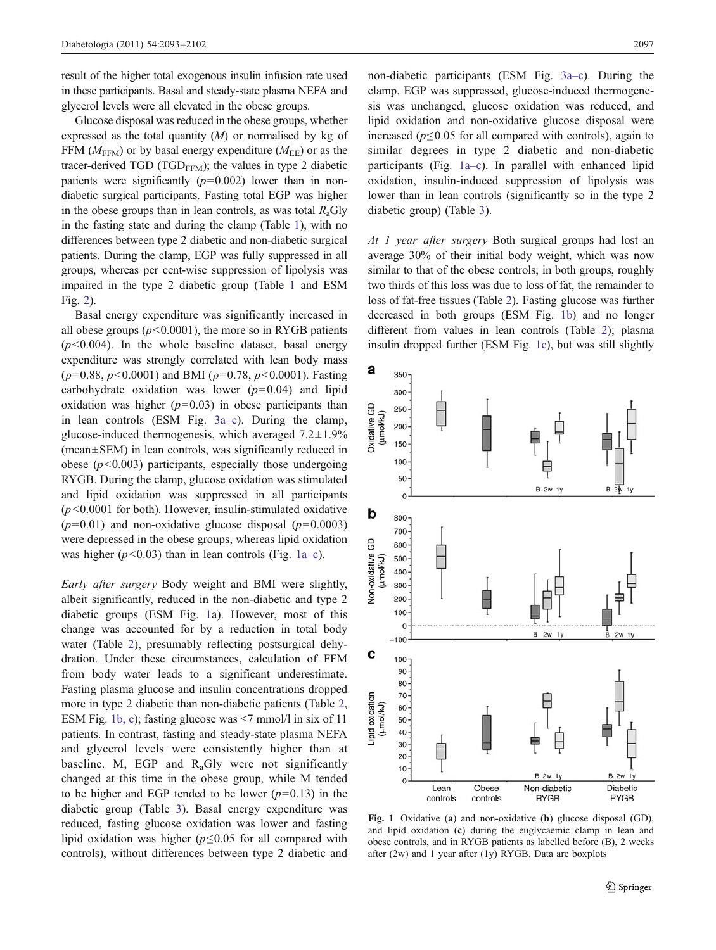<span id="page-4-0"></span>result of the higher total exogenous insulin infusion rate used in these participants. Basal and steady-state plasma NEFA and glycerol levels were all elevated in the obese groups.

Glucose disposal was reduced in the obese groups, whether expressed as the total quantity  $(M)$  or normalised by kg of FFM ( $M_{\text{FFM}}$ ) or by basal energy expenditure ( $M_{\text{EE}}$ ) or as the tracer-derived TGD (TGD<sub>FFM</sub>); the values in type 2 diabetic patients were significantly  $(p=0.002)$  lower than in nondiabetic surgical participants. Fasting total EGP was higher in the obese groups than in lean controls, as was total  $R_a$ Gly in the fasting state and during the clamp (Table [1\)](#page-2-0), with no differences between type 2 diabetic and non-diabetic surgical patients. During the clamp, EGP was fully suppressed in all groups, whereas per cent-wise suppression of lipolysis was impaired in the type 2 diabetic group (Table [1](#page-2-0) and ESM Fig. 2).

Basal energy expenditure was significantly increased in all obese groups  $(p<0.0001)$ , the more so in RYGB patients  $(p<0.004)$ . In the whole baseline dataset, basal energy expenditure was strongly correlated with lean body mass  $(\rho=0.88, p<0.0001)$  and BMI ( $\rho=0.78, p<0.0001$ ). Fasting carbohydrate oxidation was lower  $(p=0.04)$  and lipid oxidation was higher  $(p=0.03)$  in obese participants than in lean controls (ESM Fig. 3a–c). During the clamp, glucose-induced thermogenesis, which averaged  $7.2 \pm 1.9\%$ (mean±SEM) in lean controls, was significantly reduced in obese ( $p$ <0.003) participants, especially those undergoing RYGB. During the clamp, glucose oxidation was stimulated and lipid oxidation was suppressed in all participants  $(p<0.0001$  for both). However, insulin-stimulated oxidative  $(p=0.01)$  and non-oxidative glucose disposal  $(p=0.0003)$ were depressed in the obese groups, whereas lipid oxidation was higher  $(p<0.03)$  than in lean controls (Fig. 1a–c).

Early after surgery Body weight and BMI were slightly, albeit significantly, reduced in the non-diabetic and type 2 diabetic groups (ESM Fig. 1a). However, most of this change was accounted for by a reduction in total body water (Table [2\)](#page-5-0), presumably reflecting postsurgical dehydration. Under these circumstances, calculation of FFM from body water leads to a significant underestimate. Fasting plasma glucose and insulin concentrations dropped more in type 2 diabetic than non-diabetic patients (Table [2,](#page-5-0) ESM Fig. 1b, c); fasting glucose was <7 mmol/l in six of 11 patients. In contrast, fasting and steady-state plasma NEFA and glycerol levels were consistently higher than at baseline. M, EGP and  $R_a$ Gly were not significantly changed at this time in the obese group, while M tended to be higher and EGP tended to be lower  $(p=0.13)$  in the diabetic group (Table [3](#page-6-0)). Basal energy expenditure was reduced, fasting glucose oxidation was lower and fasting lipid oxidation was higher ( $p \le 0.05$  for all compared with controls), without differences between type 2 diabetic and non-diabetic participants (ESM Fig. 3a–c). During the clamp, EGP was suppressed, glucose-induced thermogenesis was unchanged, glucose oxidation was reduced, and lipid oxidation and non-oxidative glucose disposal were increased ( $p \le 0.05$  for all compared with controls), again to similar degrees in type 2 diabetic and non-diabetic participants (Fig. 1a–c). In parallel with enhanced lipid oxidation, insulin-induced suppression of lipolysis was lower than in lean controls (significantly so in the type 2 diabetic group) (Table [3\)](#page-6-0).

At 1 year after surgery Both surgical groups had lost an average 30% of their initial body weight, which was now similar to that of the obese controls; in both groups, roughly two thirds of this loss was due to loss of fat, the remainder to loss of fat-free tissues (Table [2\)](#page-5-0). Fasting glucose was further decreased in both groups (ESM Fig. 1b) and no longer different from values in lean controls (Table [2](#page-5-0)); plasma insulin dropped further (ESM Fig. 1c), but was still slightly



Fig. 1 Oxidative (a) and non-oxidative (b) glucose disposal (GD), and lipid oxidation (c) during the euglycaemic clamp in lean and obese controls, and in RYGB patients as labelled before (B), 2 weeks after (2w) and 1 year after (1y) RYGB. Data are boxplots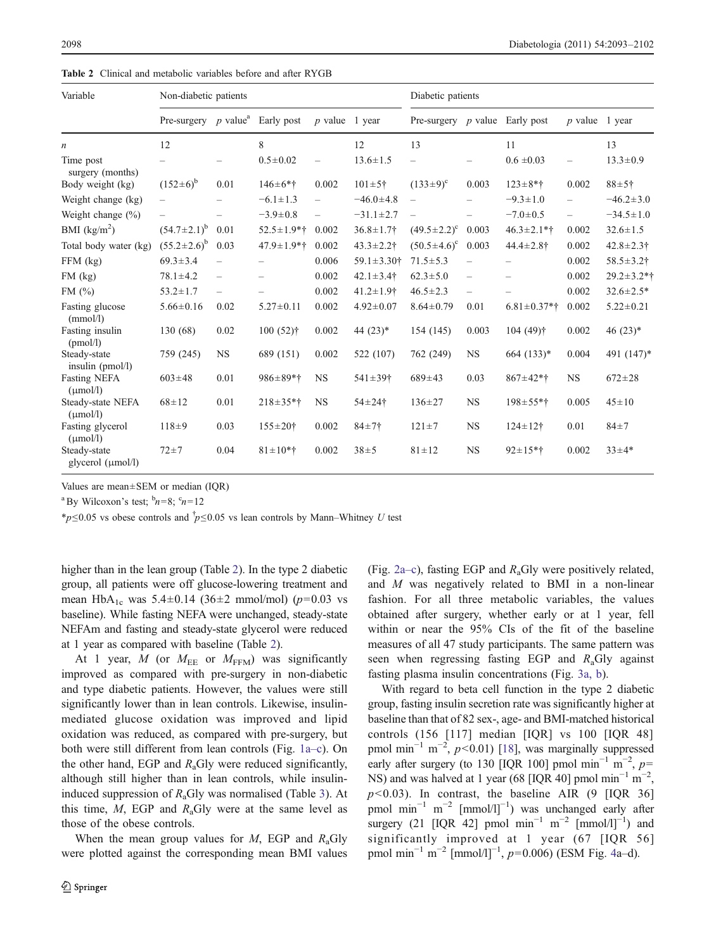<span id="page-5-0"></span>

| <b>Table 2</b> Clinical and metabolic variables before and after RYGB |
|-----------------------------------------------------------------------|
|-----------------------------------------------------------------------|

| Variable                                    | Non-diabetic patients                         |                          |                   | Diabetic patients        |                              |                                  |                          |                    |                          |                   |
|---------------------------------------------|-----------------------------------------------|--------------------------|-------------------|--------------------------|------------------------------|----------------------------------|--------------------------|--------------------|--------------------------|-------------------|
|                                             | Pre-surgery $p$ value <sup>a</sup> Early post |                          |                   | $p$ value                | 1 year                       | Pre-surgery $p$ value Early post |                          |                    | $p$ value                | 1 year            |
| $\boldsymbol{n}$                            | 12                                            |                          | 8                 |                          | 12                           | 13                               |                          | 11                 |                          | 13                |
| Time post<br>surgery (months)               |                                               |                          | $0.5 \pm 0.02$    | $\overline{\phantom{m}}$ | $13.6 \pm 1.5$               | $\overline{\phantom{0}}$         |                          | $0.6 \pm 0.03$     | -                        | $13.3 \pm 0.9$    |
| Body weight (kg)                            | $(152 \pm 6)^b$                               | 0.01                     | $146 \pm 6*$ †    | 0.002                    | $101 \pm 5$ †                | $(133 \pm 9)^{\circ}$            | 0.003                    | $123 \pm 8*$ †     | 0.002                    | $88 + 5 +$        |
| Weight change (kg)                          |                                               |                          | $-6.1 \pm 1.3$    | $\equiv$                 | $-46.0 \pm 4.8$              | $\equiv$                         |                          | $-9.3 \pm 1.0$     | $\overline{\phantom{0}}$ | $-46.2 \pm 3.0$   |
| Weight change $(\% )$                       |                                               |                          | $-3.9 \pm 0.8$    | $\equiv$                 | $-31.1 \pm 2.7$              |                                  |                          | $-7.0 \pm 0.5$     | $\equiv$                 | $-34.5 \pm 1.0$   |
| BMI $(kg/m2)$                               | $(54.7 \pm 2.1)^b$                            | 0.01                     | $52.5 \pm 1.9*$ † | 0.002                    | $36.8 \pm 1.7$ †             | $(49.5 \pm 2.2)^c$               | 0.003                    | $46.3 \pm 2.1$ *†  | 0.002                    | $32.6 \pm 1.5$    |
| Total body water (kg)                       | $(55.2 \pm 2.6)^b$                            | 0.03                     | $47.9 \pm 1.9*$ † | 0.002                    | $43.3 \pm 2.2$ †             | $(50.5 \pm 4.6)^{\circ}$         | 0.003                    | $44.4 \pm 2.8$ †   | 0.002                    | $42.8 \pm 2.3$ †  |
| $FFM$ (kg)                                  | $69.3 \pm 3.4$                                |                          |                   | 0.006                    | $59.1 \pm 3.30$ <sup>+</sup> | $71.5 \pm 5.3$                   | $\overline{\phantom{0}}$ |                    | 0.002                    | $58.5 \pm 3.2$ †  |
| FM (kg)                                     | $78.1 \pm 4.2$                                | $\overline{\phantom{m}}$ |                   | 0.002                    | $42.1 \pm 3.4$ <sup>+</sup>  | $62.3 \pm 5.0$                   | $\overline{\phantom{m}}$ |                    | 0.002                    | $29.2 \pm 3.2*$ † |
| FM $(\%)$                                   | $53.2 \pm 1.7$                                | $\equiv$                 |                   | 0.002                    | $41.2 \pm 1.9$ <sup>+</sup>  | $46.5 \pm 2.3$                   | $\overline{\phantom{0}}$ |                    | 0.002                    | $32.6 \pm 2.5*$   |
| Fasting glucose<br>(mmol/l)                 | $5.66 \pm 0.16$                               | 0.02                     | $5.27 \pm 0.11$   | 0.002                    | $4.92 \pm 0.07$              | $8.64 \pm 0.79$                  | 0.01                     | $6.81 \pm 0.37*$ † | 0.002                    | $5.22 \pm 0.21$   |
| Fasting insulin<br>(pmol/l)                 | 130 (68)                                      | 0.02                     | $100(52)$ †       | 0.002                    | 44 $(23)*$                   | 154 (145)                        | 0.003                    | $104(49)$ †        | 0.002                    | 46 $(23)*$        |
| Steady-state<br>insulin $(pmol/l)$          | 759 (245)                                     | <b>NS</b>                | 689 (151)         | 0.002                    | 522 (107)                    | 762 (249)                        | <b>NS</b>                | 664 (133)*         | 0.004                    | 491 (147)*        |
| <b>Fasting NEFA</b><br>$(\mu \text{mol/l})$ | $603 \pm 48$                                  | 0.01                     | $986 \pm 89*$ †   | <b>NS</b>                | $541 \pm 39$ <sup>+</sup>    | $689+43$                         | 0.03                     | $867 \pm 42*$ †    | <b>NS</b>                | $672 \pm 28$      |
| Steady-state NEFA<br>$(\mu \text{mol/l})$   | $68 \pm 12$                                   | 0.01                     | $218 \pm 35*$ †   | <b>NS</b>                | $54 \pm 24$ †                | $136 \pm 27$                     | <b>NS</b>                | $198 \pm 55*$ †    | 0.005                    | $45 \pm 10$       |
| Fasting glycerol<br>$(\mu \text{mol/l})$    | $118+9$                                       | 0.03                     | $155 \pm 20$ †    | 0.002                    | $84 + 7 +$                   | $121 \pm 7$                      | <b>NS</b>                | $124 \pm 12$ †     | 0.01                     | $84 + 7$          |
| Steady-state<br>glycerol $(\mu$ mol/l)      | $72 + 7$                                      | 0.04                     | $81 \pm 10$ *†    | 0.002                    | $38 + 5$                     | $81 \pm 12$                      | <b>NS</b>                | $92 \pm 15*$ †     | 0.002                    | $33 \pm 4*$       |

Values are mean±SEM or median (IQR)

<sup>a</sup> By Wilcoxon's test;  $\frac{b_n}{s} = 8$ ;  $\frac{c_n}{n} = 12$ 

\* $p$ ≤0.05 vs obese controls and  $\bar{p}$ ≤0.05 vs lean controls by Mann–Whitney U test

higher than in the lean group (Table 2). In the type 2 diabetic group, all patients were off glucose-lowering treatment and mean HbA<sub>1c</sub> was 5.4±0.14 (36±2 mmol/mol) ( $p=0.03$  vs baseline). While fasting NEFA were unchanged, steady-state NEFAm and fasting and steady-state glycerol were reduced at 1 year as compared with baseline (Table 2).

At 1 year,  $M$  (or  $M_{\text{EE}}$  or  $M_{\text{FFM}}$ ) was significantly improved as compared with pre-surgery in non-diabetic and type diabetic patients. However, the values were still significantly lower than in lean controls. Likewise, insulinmediated glucose oxidation was improved and lipid oxidation was reduced, as compared with pre-surgery, but both were still different from lean controls (Fig. [1a](#page-4-0)–c). On the other hand, EGP and  $R_a$ Gly were reduced significantly, although still higher than in lean controls, while insulininduced suppression of  $R_a$ Gly was normalised (Table [3\)](#page-6-0). At this time,  $M$ , EGP and  $R_a$ Gly were at the same level as those of the obese controls.

When the mean group values for  $M$ , EGP and  $R_a$ Gly were plotted against the corresponding mean BMI values (Fig. [2a](#page-7-0)–c), fasting EGP and  $R_a$ Gly were positively related, and M was negatively related to BMI in a non-linear fashion. For all three metabolic variables, the values obtained after surgery, whether early or at 1 year, fell within or near the 95% CIs of the fit of the baseline measures of all 47 study participants. The same pattern was seen when regressing fasting EGP and  $R_a$ Gly against fasting plasma insulin concentrations (Fig. [3a, b\)](#page-7-0).

With regard to beta cell function in the type 2 diabetic group, fasting insulin secretion rate was significantly higher at baseline than that of 82 sex-, age- and BMI-matched historical controls (156 [117] median [IQR] vs 100 [IQR 48] pmol min<sup>-1</sup> m<sup>-2</sup>,  $p$ <0.01) [[18\]](#page-9-0), was marginally suppressed early after surgery (to 130 [IQR 100] pmol min<sup>-1</sup> m<sup>-2</sup>, p= NS) and was halved at 1 year (68 [IQR 40] pmol  $min^{-1} m^{-2}$ ,  $p<0.03$ ). In contrast, the baseline AIR (9 [IQR 36] pmol min<sup>-1</sup> m<sup>-2</sup> [mmol/l]<sup>-1</sup>) was unchanged early after surgery (21 [IQR 42] pmol  $\text{min}^{-1}$  m<sup>-2</sup> [mmol/l]<sup>-1</sup>) and significantly improved at 1 year (67 [IQR 56] pmol min<sup>-1</sup> m<sup>-2</sup> [mmol/l]<sup>-1</sup>,  $p=0.006$ ) (ESM Fig. 4a-d).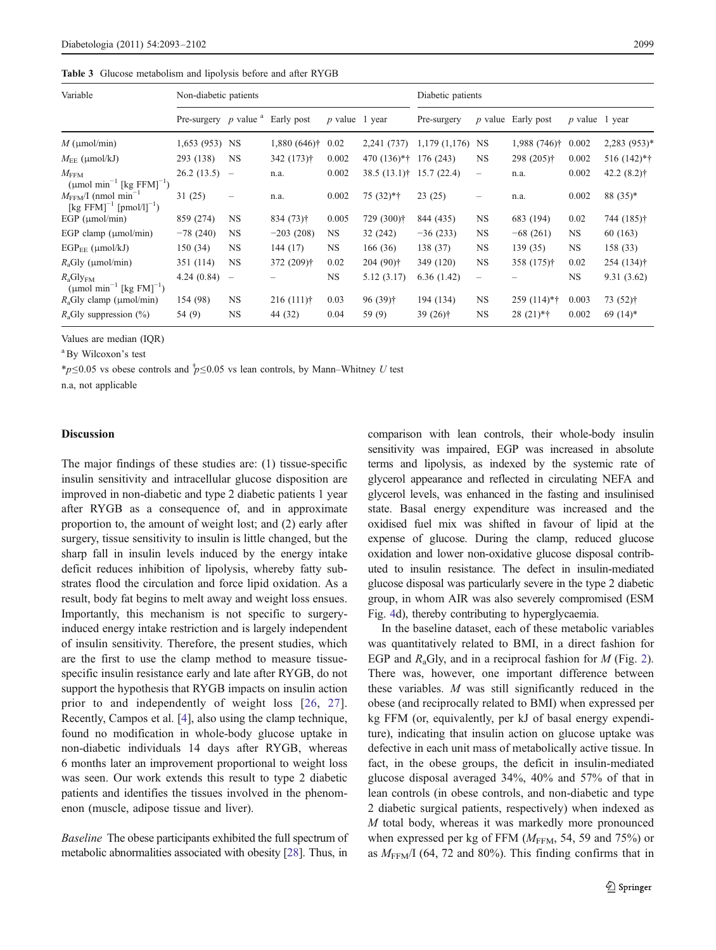<span id="page-6-0"></span>

| Variable                                                                                      | Non-diabetic patients                |                          |                |                       |                      | Diabetic patients    |                   |                      |                       |                            |
|-----------------------------------------------------------------------------------------------|--------------------------------------|--------------------------|----------------|-----------------------|----------------------|----------------------|-------------------|----------------------|-----------------------|----------------------------|
|                                                                                               | Pre-surgery $p$ value $a$ Early post |                          |                | <i>p</i> value 1 year |                      | Pre-surgery          |                   | $p$ value Early post | <i>p</i> value 1 year |                            |
| $M \text{ (µmol/min)}$                                                                        | 1,653 (953) NS                       |                          | $1,880(646)$ † | 0.02                  | 2,241 (737)          | $1,179$ $(1,176)$ NS |                   | $1,988(746)$ †       | 0.002                 | $2,283$ (953) <sup>*</sup> |
| $M_{\text{EE}}$ (µmol/kJ)                                                                     | 293 (138)                            | <b>NS</b>                | 342 (173)†     | 0.002                 | 470 (136)*†          | 176 (243)            | NS                | 298 (205)†           | 0.002                 | 516 (142)*†                |
| $M_{\mathrm{FFM}}$<br>$(\mu$ mol min <sup>-1</sup> [kg FFM] <sup>-1</sup> )                   | 26.2(13.5)                           | $\overline{\phantom{m}}$ | n.a.           | 0.002                 | $38.5(13.1)$ †       | 15.7(22.4)           | $\qquad \qquad -$ | n.a.                 | 0.002                 | $42.2(8.2)$ †              |
| $M_{\text{FFM}}/I$ (nmol min <sup>-1</sup><br>[kg FFM] <sup>-1</sup> [pmol/l] <sup>-1</sup> ) | 31(25)                               | -                        | n.a.           | 0.002                 | $75(32)*{\dagger}$   | 23(25)               |                   | n.a.                 | 0.002                 | 88 (35)*                   |
| EGP $(\mu$ mol/min)                                                                           | 859 (274)                            | NS.                      | $834(73)$ †    | 0.005                 | 729 (300)†           | 844 (435)            | NS                | 683 (194)            | 0.02                  | 744 (185)†                 |
| EGP clamp $(\mu \text{mol/min})$                                                              | $-78(240)$                           | NS                       | $-203(208)$    | NS.                   | 32 (242)             | $-36(233)$           | NS                | $-68(261)$           | NS.                   | 60 (163)                   |
| $EGP_{EE}$ ( $\mu$ mol/kJ)                                                                    | 150 (34)                             | <b>NS</b>                | 144 (17)       | NS.                   | 166(36)              | 138 (37)             | NS                | 139 (35)             | NS.                   | 158 (33)                   |
| $R_{\rm a}$ Gly (µmol/min)                                                                    | 351 (114)                            | <b>NS</b>                | 372 (209)†     | 0.02                  | $204(90)$ †          | 349 (120)            | NS                | $358(175)$ †         | 0.02                  | 254 (134) <sup>†</sup>     |
| $R_aGly_{FM}$<br>$(\mu$ mol min <sup>-1</sup> [kg FM] <sup>-1</sup> )                         | 4.24(0.84)                           | $\overline{\phantom{0}}$ |                | NS.                   | 5.12 (3.17)          | 6.36(1.42)           | -                 |                      | NS.                   | 9.31(3.62)                 |
| $R_a$ Gly clamp (µmol/min)                                                                    | 154 (98)                             | NS                       | $216(111)$ †   | 0.03                  | 96 (39) <sup>†</sup> | 194 (134)            | NS                | $259(114)*{\dagger}$ | 0.003                 | $73(52)$ †                 |
| $R_a$ Gly suppression (%)                                                                     | 54 (9)                               | NS.                      | 44 (32)        | 0.04                  | 59 (9)               | 39 $(26)$ †          | NS                | $28(21)*†$           | 0.002                 | $69(14)$ *                 |

Values are median (IQR)

<sup>a</sup>By Wilcoxon's test

\* $p$ ≤0.05 vs obese controls and  $\dot{p}$ ≤0.05 vs lean controls, by Mann–Whitney U test

n.a, not applicable

## Discussion

The major findings of these studies are: (1) tissue-specific insulin sensitivity and intracellular glucose disposition are improved in non-diabetic and type 2 diabetic patients 1 year after RYGB as a consequence of, and in approximate proportion to, the amount of weight lost; and (2) early after surgery, tissue sensitivity to insulin is little changed, but the sharp fall in insulin levels induced by the energy intake deficit reduces inhibition of lipolysis, whereby fatty substrates flood the circulation and force lipid oxidation. As a result, body fat begins to melt away and weight loss ensues. Importantly, this mechanism is not specific to surgeryinduced energy intake restriction and is largely independent of insulin sensitivity. Therefore, the present studies, which are the first to use the clamp method to measure tissuespecific insulin resistance early and late after RYGB, do not support the hypothesis that RYGB impacts on insulin action prior to and independently of weight loss [\[26,](#page-9-0) [27](#page-9-0)]. Recently, Campos et al. [[4\]](#page-8-0), also using the clamp technique, found no modification in whole-body glucose uptake in non-diabetic individuals 14 days after RYGB, whereas 6 months later an improvement proportional to weight loss was seen. Our work extends this result to type 2 diabetic patients and identifies the tissues involved in the phenomenon (muscle, adipose tissue and liver).

Baseline The obese participants exhibited the full spectrum of metabolic abnormalities associated with obesity [\[28\]](#page-9-0). Thus, in

comparison with lean controls, their whole-body insulin sensitivity was impaired, EGP was increased in absolute terms and lipolysis, as indexed by the systemic rate of glycerol appearance and reflected in circulating NEFA and glycerol levels, was enhanced in the fasting and insulinised state. Basal energy expenditure was increased and the oxidised fuel mix was shifted in favour of lipid at the expense of glucose. During the clamp, reduced glucose oxidation and lower non-oxidative glucose disposal contributed to insulin resistance. The defect in insulin-mediated glucose disposal was particularly severe in the type 2 diabetic group, in whom AIR was also severely compromised (ESM Fig. 4d), thereby contributing to hyperglycaemia.

In the baseline dataset, each of these metabolic variables was quantitatively related to BMI, in a direct fashion for EGP and  $R_a$ Gly, and in a reciprocal fashion for M (Fig. [2\)](#page-7-0). There was, however, one important difference between these variables. M was still significantly reduced in the obese (and reciprocally related to BMI) when expressed per kg FFM (or, equivalently, per kJ of basal energy expenditure), indicating that insulin action on glucose uptake was defective in each unit mass of metabolically active tissue. In fact, in the obese groups, the deficit in insulin-mediated glucose disposal averaged 34%, 40% and 57% of that in lean controls (in obese controls, and non-diabetic and type 2 diabetic surgical patients, respectively) when indexed as M total body, whereas it was markedly more pronounced when expressed per kg of FFM  $(M_{FFM}, 54, 59, 59)$  or as  $M_{FFM}/I$  (64, 72 and 80%). This finding confirms that in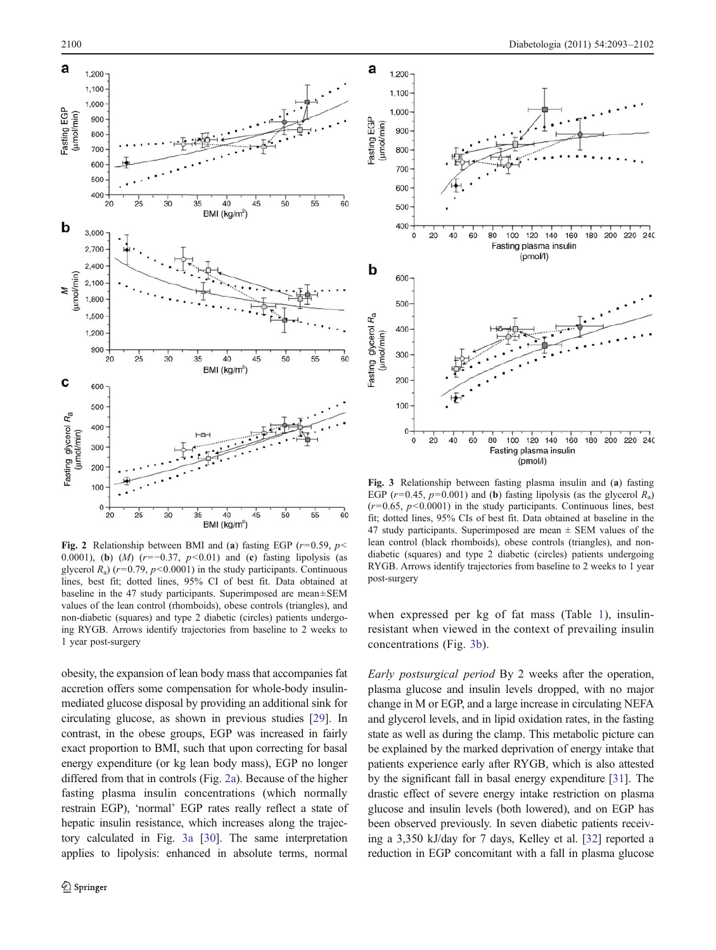<span id="page-7-0"></span>

Fig. 2 Relationship between BMI and (a) fasting EGP ( $r=0.59$ ,  $p<$ 0.0001), (b) (*M*) ( $r=-0.37$ ,  $p<0.01$ ) and (c) fasting lipolysis (as glycerol  $R_a$ ) ( $r=0.79$ ,  $p<0.0001$ ) in the study participants. Continuous lines, best fit; dotted lines, 95% CI of best fit. Data obtained at baseline in the 47 study participants. Superimposed are mean±SEM values of the lean control (rhomboids), obese controls (triangles), and non-diabetic (squares) and type 2 diabetic (circles) patients undergoing RYGB. Arrows identify trajectories from baseline to 2 weeks to 1 year post-surgery

obesity, the expansion of lean body mass that accompanies fat accretion offers some compensation for whole-body insulinmediated glucose disposal by providing an additional sink for circulating glucose, as shown in previous studies [[29](#page-9-0)]. In contrast, in the obese groups, EGP was increased in fairly exact proportion to BMI, such that upon correcting for basal energy expenditure (or kg lean body mass), EGP no longer differed from that in controls (Fig. 2a). Because of the higher fasting plasma insulin concentrations (which normally restrain EGP), 'normal' EGP rates really reflect a state of hepatic insulin resistance, which increases along the trajectory calculated in Fig. 3a [[30](#page-9-0)]. The same interpretation applies to lipolysis: enhanced in absolute terms, normal



Fig. 3 Relationship between fasting plasma insulin and (a) fasting EGP ( $r=0.45$ ,  $p=0.001$ ) and (b) fasting lipolysis (as the glycerol  $R_a$ )  $(r=0.65, p<0.0001)$  in the study participants. Continuous lines, best fit; dotted lines, 95% CIs of best fit. Data obtained at baseline in the 47 study participants. Superimposed are mean  $\pm$  SEM values of the lean control (black rhomboids), obese controls (triangles), and nondiabetic (squares) and type 2 diabetic (circles) patients undergoing RYGB. Arrows identify trajectories from baseline to 2 weeks to 1 year post-surgery

when expressed per kg of fat mass (Table [1\)](#page-2-0), insulinresistant when viewed in the context of prevailing insulin concentrations (Fig. 3b).

Early postsurgical period By 2 weeks after the operation, plasma glucose and insulin levels dropped, with no major change in M or EGP, and a large increase in circulating NEFA and glycerol levels, and in lipid oxidation rates, in the fasting state as well as during the clamp. This metabolic picture can be explained by the marked deprivation of energy intake that patients experience early after RYGB, which is also attested by the significant fall in basal energy expenditure [[31\]](#page-9-0). The drastic effect of severe energy intake restriction on plasma glucose and insulin levels (both lowered), and on EGP has been observed previously. In seven diabetic patients receiving a 3,350 kJ/day for 7 days, Kelley et al. [[32](#page-9-0)] reported a reduction in EGP concomitant with a fall in plasma glucose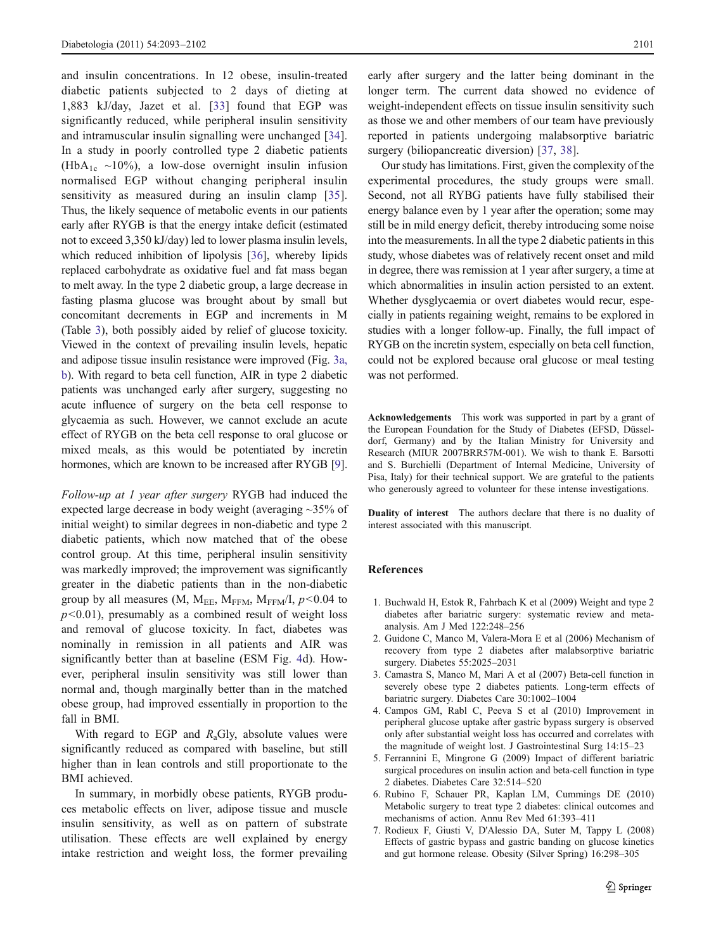<span id="page-8-0"></span>and insulin concentrations. In 12 obese, insulin-treated diabetic patients subjected to 2 days of dieting at 1,883 kJ/day, Jazet et al. [\[33\]](#page-9-0) found that EGP was significantly reduced, while peripheral insulin sensitivity and intramuscular insulin signalling were unchanged [[34](#page-9-0)]. In a study in poorly controlled type 2 diabetic patients (HbA<sub>1c</sub> ~10%), a low-dose overnight insulin infusion normalised EGP without changing peripheral insulin sensitivity as measured during an insulin clamp [[35](#page-9-0)]. Thus, the likely sequence of metabolic events in our patients early after RYGB is that the energy intake deficit (estimated not to exceed 3,350 kJ/day) led to lower plasma insulin levels, which reduced inhibition of lipolysis [[36\]](#page-9-0), whereby lipids replaced carbohydrate as oxidative fuel and fat mass began to melt away. In the type 2 diabetic group, a large decrease in fasting plasma glucose was brought about by small but concomitant decrements in EGP and increments in M (Table [3](#page-6-0)), both possibly aided by relief of glucose toxicity. Viewed in the context of prevailing insulin levels, hepatic and adipose tissue insulin resistance were improved (Fig. [3a,](#page-7-0) [b\)](#page-7-0). With regard to beta cell function, AIR in type 2 diabetic patients was unchanged early after surgery, suggesting no acute influence of surgery on the beta cell response to glycaemia as such. However, we cannot exclude an acute effect of RYGB on the beta cell response to oral glucose or mixed meals, as this would be potentiated by incretin hormones, which are known to be increased after RYGB [[9\]](#page-9-0).

Follow-up at 1 year after surgery RYGB had induced the expected large decrease in body weight (averaging ~35% of initial weight) to similar degrees in non-diabetic and type 2 diabetic patients, which now matched that of the obese control group. At this time, peripheral insulin sensitivity was markedly improved; the improvement was significantly greater in the diabetic patients than in the non-diabetic group by all measures (M,  $M_{EE}$ ,  $M_{FFM}$ ,  $M_{FFM}$ /I,  $p < 0.04$  to  $p<0.01$ ), presumably as a combined result of weight loss and removal of glucose toxicity. In fact, diabetes was nominally in remission in all patients and AIR was significantly better than at baseline (ESM Fig. 4d). However, peripheral insulin sensitivity was still lower than normal and, though marginally better than in the matched obese group, had improved essentially in proportion to the fall in BMI.

With regard to EGP and  $R_a$ Gly, absolute values were significantly reduced as compared with baseline, but still higher than in lean controls and still proportionate to the BMI achieved.

In summary, in morbidly obese patients, RYGB produces metabolic effects on liver, adipose tissue and muscle insulin sensitivity, as well as on pattern of substrate utilisation. These effects are well explained by energy intake restriction and weight loss, the former prevailing

early after surgery and the latter being dominant in the longer term. The current data showed no evidence of weight-independent effects on tissue insulin sensitivity such as those we and other members of our team have previously reported in patients undergoing malabsorptive bariatric surgery (biliopancreatic diversion) [[37,](#page-9-0) [38](#page-9-0)].

Our study has limitations. First, given the complexity of the experimental procedures, the study groups were small. Second, not all RYBG patients have fully stabilised their energy balance even by 1 year after the operation; some may still be in mild energy deficit, thereby introducing some noise into the measurements. In all the type 2 diabetic patients in this study, whose diabetes was of relatively recent onset and mild in degree, there was remission at 1 year after surgery, a time at which abnormalities in insulin action persisted to an extent. Whether dysglycaemia or overt diabetes would recur, especially in patients regaining weight, remains to be explored in studies with a longer follow-up. Finally, the full impact of RYGB on the incretin system, especially on beta cell function, could not be explored because oral glucose or meal testing was not performed.

Acknowledgements This work was supported in part by a grant of the European Foundation for the Study of Diabetes (EFSD, Düsseldorf, Germany) and by the Italian Ministry for University and Research (MIUR 2007BRR57M-001). We wish to thank E. Barsotti and S. Burchielli (Department of Internal Medicine, University of Pisa, Italy) for their technical support. We are grateful to the patients who generously agreed to volunteer for these intense investigations.

Duality of interest The authors declare that there is no duality of interest associated with this manuscript.

#### References

- 1. Buchwald H, Estok R, Fahrbach K et al (2009) Weight and type 2 diabetes after bariatric surgery: systematic review and metaanalysis. Am J Med 122:248–256
- 2. Guidone C, Manco M, Valera-Mora E et al (2006) Mechanism of recovery from type 2 diabetes after malabsorptive bariatric surgery. Diabetes 55:2025–2031
- 3. Camastra S, Manco M, Mari A et al (2007) Beta-cell function in severely obese type 2 diabetes patients. Long-term effects of bariatric surgery. Diabetes Care 30:1002–1004
- 4. Campos GM, Rabl C, Peeva S et al (2010) Improvement in peripheral glucose uptake after gastric bypass surgery is observed only after substantial weight loss has occurred and correlates with the magnitude of weight lost. J Gastrointestinal Surg 14:15–23
- 5. Ferrannini E, Mingrone G (2009) Impact of different bariatric surgical procedures on insulin action and beta-cell function in type 2 diabetes. Diabetes Care 32:514–520
- 6. Rubino F, Schauer PR, Kaplan LM, Cummings DE (2010) Metabolic surgery to treat type 2 diabetes: clinical outcomes and mechanisms of action. Annu Rev Med 61:393–411
- 7. Rodieux F, Giusti V, D'Alessio DA, Suter M, Tappy L (2008) Effects of gastric bypass and gastric banding on glucose kinetics and gut hormone release. Obesity (Silver Spring) 16:298–305